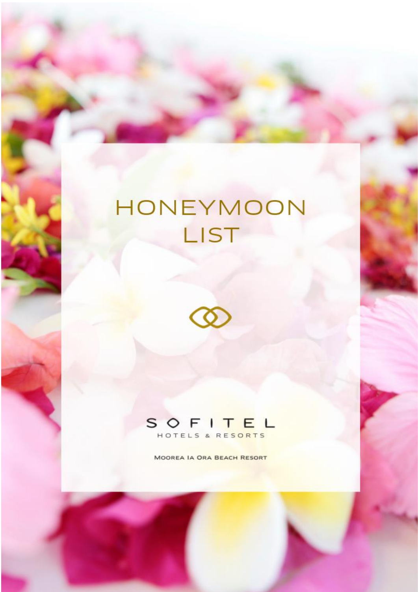## HONEYMOON LIST





MOOREA IA ORA BEACH RESORT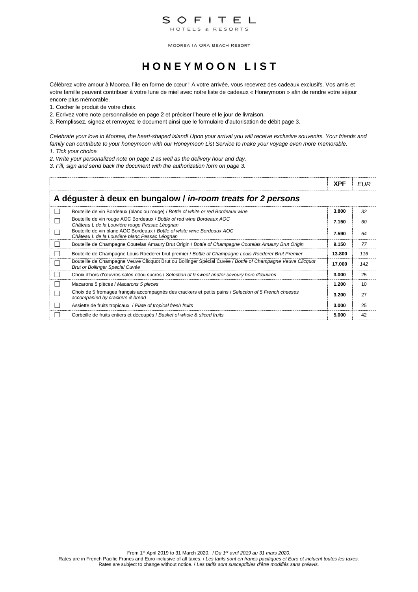

## **H O N E Y M O O N L I S T**

Célébrez votre amour à Moorea, l'île en forme de cœur ! A votre arrivée, vous recevrez des cadeaux exclusifs. Vos amis et votre famille peuvent contribuer à votre lune de miel avec notre liste de cadeaux « Honeymoon » afin de rendre votre séjour encore plus mémorable.

- 1. Cocher le produit de votre choix.
- 2. Ecrivez votre note personnalisée en page 2 et préciser l'heure et le jour de livraison.
- 3. Remplissez, signez et renvoyez le document ainsi que le formulaire d'autorisation de débit page 3.

*Celebrate your love in Moorea, the heart-shaped island! Upon your arrival you will receive exclusive souvenirs. Your friends and family can contribute to your honeymoon with our Honeymoon List Service to make your voyage even more memorable.* 

- *1. Tick your choice.*
- *2. Write your personalized note on page 2 as well as the delivery hour and day.*
- *3. Fill, sign and send back the document with the authorization form on page 3.*

|              |                                                                                                                                               | <b>XPF</b> | EUR |
|--------------|-----------------------------------------------------------------------------------------------------------------------------------------------|------------|-----|
|              | A déguster à deux en bungalow / in-room treats for 2 persons                                                                                  |            |     |
| $\mathbf{L}$ | Bouteille de vin Bordeaux (blanc ou rouge) / Bottle of white or red Bordeaux wine                                                             | 3.800      | 32  |
| ┍            | Bouteille de vin rouge AOC Bordeaux / Bottle of red wine Bordeaux AOC<br>Château L de la Louvière rouge Pessac Léognan                        | 7.150      | 60  |
| П            | Bouteille de vin blanc AOC Bordeaux / Bottle of white wine Bordeaux AOC<br>Château L de la Louvière blanc Pessac Léognan                      | 7.590      | 64  |
| $\Box$       | Bouteille de Champagne Coutelas Amaury Brut Origin / Bottle of Champagne Coutelas Amaury Brut Origin                                          | 9.150      | 77  |
| $\Box$       | Bouteille de Champagne Louis Roederer brut premier / Bottle of Champagne Louis Roederer Brut Premier                                          | 13.800     | 116 |
| П            | Bouteille de Champagne Veuve Clicquot Brut ou Bollinger Spécial Cuvée / Bottle of Champagne Veuve Clicquot<br>Brut or Bollinger Special Cuvée | 17.000     | 142 |
| $\mathbf{L}$ | Choix d'hors d'œuvres salés et/ou sucrés / Selection of 9 sweet and/or savoury hors d'œuvres                                                  | 3.000      | 25  |
| $\mathbf{L}$ | Macarons 5 pièces / Macarons 5 pieces                                                                                                         | 1.200      | 10  |
| $\Box$       | Choix de 5 fromages français accompagnés des crackers et petits pains / Selection of 5 French cheeses<br>accompanied by crackers & bread      | 3.200      | 27  |
| $\mathbf{L}$ | Assiette de fruits tropicaux / Plate of tropical fresh fruits                                                                                 | 3.000      | 25  |
|              | Corbeille de fruits entiers et découpés / Basket of whole & sliced fruits                                                                     | 5.000      | 42  |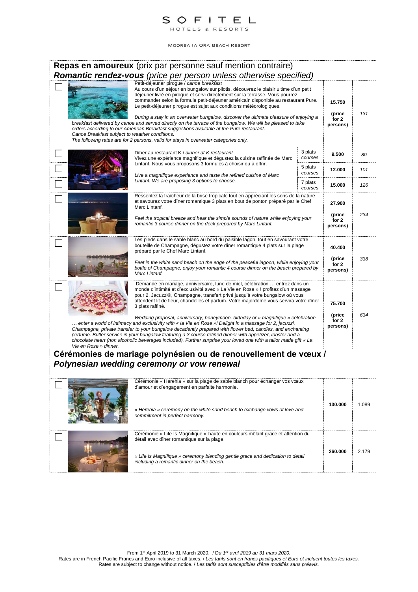

|                                                | <b>Repas en amoureux</b> (prix par personne sauf mention contraire)                                                                                                                                                                                                                                                                                                                                                                                                                                                                                                                                                                                                                                                                                                                                                                                                                                         |                    |                                       |       |
|------------------------------------------------|-------------------------------------------------------------------------------------------------------------------------------------------------------------------------------------------------------------------------------------------------------------------------------------------------------------------------------------------------------------------------------------------------------------------------------------------------------------------------------------------------------------------------------------------------------------------------------------------------------------------------------------------------------------------------------------------------------------------------------------------------------------------------------------------------------------------------------------------------------------------------------------------------------------|--------------------|---------------------------------------|-------|
|                                                | Romantic rendez-vous (price per person unless otherwise specified)                                                                                                                                                                                                                                                                                                                                                                                                                                                                                                                                                                                                                                                                                                                                                                                                                                          |                    |                                       |       |
| Canoe Breakfast subject to weather conditions. | Petit-déjeuner piroque / canoe breakfast<br>Au cours d'un séjour en bungalow sur pilotis, découvrez le plaisir ultime d'un petit<br>déjeuner livré en pirogue et servi directement sur la terrasse. Vous pourrez<br>commander selon la formule petit-déjeuner américain disponible au restaurant Pure.<br>Le petit-déjeuner pirogue est sujet aux conditions météorologiques.<br>During a stay in an overwater bungalow, discover the ultimate pleasure of enjoying a<br>breakfast delivered by canoe and served directly on the terrace of the bungalow. We will be pleased to take<br>orders according to our American Breakfast suggestions available at the Pure restaurant.<br>The following rates are for 2 persons, valid for stays in overwater categories only.                                                                                                                                    |                    | 15.750<br>(price<br>for 2<br>persons) | 131   |
|                                                | Dîner au restaurant K / dinner at K restaurant<br>Vivez une expérience magnifique et dégustez la cuisine raffinée de Marc<br>Lintanf. Nous vous proposons 3 formules à choisir ou à offrir.                                                                                                                                                                                                                                                                                                                                                                                                                                                                                                                                                                                                                                                                                                                 | 3 plats<br>courses | 9.500                                 | 80    |
|                                                | Live a magnifique experience and taste the refined cuisine of Marc                                                                                                                                                                                                                                                                                                                                                                                                                                                                                                                                                                                                                                                                                                                                                                                                                                          | 5 plats<br>courses | 12.000                                | 101   |
|                                                | Lintanf. We are proposing 3 options to choose.                                                                                                                                                                                                                                                                                                                                                                                                                                                                                                                                                                                                                                                                                                                                                                                                                                                              | 7 plats<br>courses | 15.000                                | 126   |
|                                                | Ressentez la fraîcheur de la brise tropicale tout en appréciant les sons de la nature<br>et savourez votre dîner romantique 3 plats en bout de ponton préparé par le Chef<br>Marc Lintanf.                                                                                                                                                                                                                                                                                                                                                                                                                                                                                                                                                                                                                                                                                                                  |                    | 27.900                                |       |
|                                                | Feel the tropical breeze and hear the simple sounds of nature while enjoying your<br>romantic 3 course dinner on the deck prepared by Marc Lintanf.                                                                                                                                                                                                                                                                                                                                                                                                                                                                                                                                                                                                                                                                                                                                                         |                    | (price<br>for 2<br>persons)           | 234   |
|                                                | Les pieds dans le sable blanc au bord du paisible lagon, tout en savourant votre<br>bouteille de Champagne, dégustez votre dîner romantique 4 plats sur la plage<br>préparé par le Chef Marc Lintanf.<br>Feet in the white sand beach on the edge of the peaceful lagoon, while enjoying your<br>bottle of Champagne, enjoy your romantic 4 course dinner on the beach prepared by<br>Marc Lintanf.                                                                                                                                                                                                                                                                                                                                                                                                                                                                                                         |                    | 40.400<br>(price<br>for 2<br>persons) | 338   |
| Vie en Rose » dinner.                          | Demande en mariage, anniversaire, lune de miel, célébration  entrez dans un<br>monde d'intimité et d'exclusivité avec « La Vie en Rose » ! profitez d'un massage<br>pour 2, Jacuzzi®, Champagne, transfert privé jusqu'à votre bungalow où vous<br>attendent lit de fleur, chandelles et parfum. Votre majordome vous servira votre dîner<br>3 plats raffiné.<br>Wedding proposal, anniversary, honeymoon, birthday or « magnifique » celebration<br>enter a world of intimacy and exclusivity with « la Vie en Rose »! Delight in a massage for 2, jacuzzi,<br>Champagne, private transfer to your bungalow decadently prepared with flower bed, candles, and enchanting<br>perfume. Butler service in your bungalow featuring a 3 course refined dinner with appetizer, lobster and a<br>chocolate heart (non alcoholic beverages included). Further surprise your loved one with a tailor made gift « La |                    | 75.700<br>(price<br>for 2<br>persons) | 634   |
|                                                | Cérémonies de mariage polynésien ou de renouvellement de vœux /                                                                                                                                                                                                                                                                                                                                                                                                                                                                                                                                                                                                                                                                                                                                                                                                                                             |                    |                                       |       |
|                                                | Polynesian wedding ceremony or vow renewal                                                                                                                                                                                                                                                                                                                                                                                                                                                                                                                                                                                                                                                                                                                                                                                                                                                                  |                    |                                       |       |
|                                                | Cérémonie « Herehia » sur la plage de sable blanch pour échanger vos vœux<br>d'amour et d'engagement en parfaite harmonie.<br>« Herehia » ceremony on the white sand beach to exchange vows of love and<br>commitment in perfect harmony.                                                                                                                                                                                                                                                                                                                                                                                                                                                                                                                                                                                                                                                                   |                    | 130.000                               | 1.089 |
|                                                | Cérémonie « Life Is Magnifique » haute en couleurs mêlant grâce et attention du<br>détail avec dîner romantique sur la plage.<br>« Life Is Magnifique » ceremony blending gentle grace and dedication to detail<br>including a romantic dinner on the beach.                                                                                                                                                                                                                                                                                                                                                                                                                                                                                                                                                                                                                                                |                    | 260.000                               | 2.179 |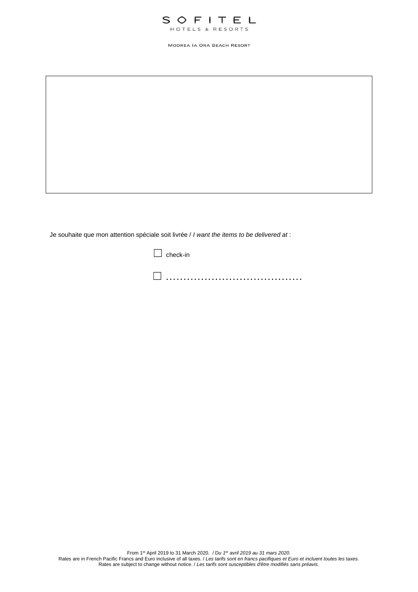

Je souhaite que mon attention spéciale soit livrée / *I want the items to be delivered at* :

 $\Box$  check-in ☐ …………………………………